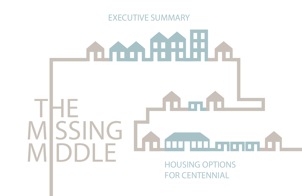# EXECUTIVE SUMMARY

# 

FOR CENTENNIAL

# THEMISSING mu MIDDLEHOUSING OPTIONS

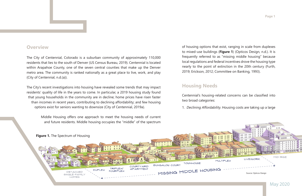## **Overview**

The City of Centennial, Colorado is a suburban community of approximately 110,000 residents that lies to the south of Denver (US Census Bureau, 2019). Centennial is located within Arapahoe County, one of the seven central counties that make up the Denver metro area. The community is ranked nationally as a great place to live, work, and play (City of Centennial, n.d.(a)).

The City's recent investigations into housing have revealed some trends that may impact residents' quality of life in the years to come. In particular, a 2019 housing study found that young households in the community are in decline; home prices have risen faster than incomes in recent years, contributing to declining affordability; and few housing options exist for seniors wanting to downsize (City of Centennial, 2019a).

> Middle Housing offers one approach to meet the housing needs of current and future residents. Middle housing occupies the "middle" of the spectrum

of housing options that exist, ranging in scale from duplexes to mixed-use buildings (Figure 1) (Opticos Design, n.d.). It is frequently referred to as "missing middle housing" because local regulations and federal incentives drove the housing type nearly to the point of extinction in the 20th century (Furth, 2019; Erickson, 2012; Committee on Banking, 1993).

# **Housing Needs**

two broad categories:

1. Declining Affordability. Housing costs are taking up a large



**Page 1**

Centennial's housing-related concerns can be classified into

May 2020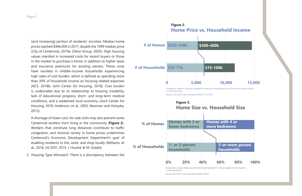(and increasing) portion of residents' incomes. Median home prices reached \$446,000 in 2017, double the 1999 median price (City of Centennial, 2019a; Zillow Group, 2020). High housing values manifest in increased costs for recent buyers or those in the market to purchase a home, in addition to higher taxes and insurance premiums for existing owners. These costs have resulted in middle-income households experiencing high rates of cost burden, which is defined as spending more than 30% of household income on housing-related expenses (ACS, 2018b; Joint Center for Housing, 2018). Cost burden is undesirable due to its relationship to housing instability, lack of educational progress, short- and long-term medical conditions, and a weakened local economy (Joint Center for Housing, 2018; Anderson, et al., 2003; Newman and Holupka, 2015).

> Comparison conservatively assumes that households with 3 or fewer people do not require 4 or more bedrooms

A shortage of lower-cost, for-sale units may also prevent some Centennial workers from living in the community (**Figure 2**). Workers that commute long distances contribute to traffic congestion, and minimal variety in home prices undermines Centennial's Economic Development Department's goal of enabling residents to live, work, and shop locally (Williams, et al., 2016; US DOT, 2015; J. Houlne & M. Gradis).

2. Housing Type Mismatch. There is a discrepancy between the

**Figure 3.**

**Home Size vs. Household Size**



Source: ACS 2018 5-year estimates (S2504, S2501)



Source: ACS 2018 5-year estimates (B25075, T151756)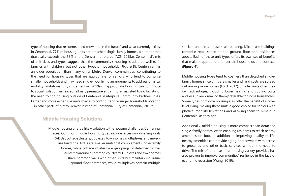type of housing that residents need (now and in the future) and what currently exists. In Centennial, 77% of housing units are detached single-family homes, a number that drastically exceeds the 58% in the Denver metro area (ACS, 2018a). Centennial's mix of unit sizes and types suggest that the community's housing is adapted well to fit families with children, but not other types of households (**Figure 3**). Centennial has an older population than many other Metro Denver communities, contributing to the need for housing types that are appropriate for seniors, who tend to comprise smaller households and may need single-floor living arrangements to address physical mobility limitations (City of Centennial, 2019a). Inappropriate housing can contribute to social isolation, increased fall risk, premature entry into an assisted living facility, or the need to find housing outside of Centennial (Enterprise Community Partners, n.d.). Larger and more expensive units may also contribute to younger households locating in other parts of Metro Denver instead of Centennial (City of Centennial, 2019a).

## **Middle Housing Solutions**

Middle housing offers a likely solution to the housing challenges Centennial faces. Common middle housing types include accessory dwelling units (ADUs), cottage clusters, duplexes, townhomes, multiplexes, and mixeduse buildings. ADUs are smaller units that complement single-family homes, while cottage clusters are groupings of detached homes centered around a common courtyard. Duplexes and townhomes share common walls with other units but maintain individual ground-floor entrances, while multiplexes contain multiple

stacked units in a house-scale building. Mixed-use buildings comprise retail space on the ground floor and residences above. Each of these unit types offers its own set of benefits that make it appropriate for certain households and contexts (**Figure 4**).

Middle housing types tend to cost less than detached singlefamily homes since units are smaller and land costs are spread out among more homes (Ford, 2017). Smaller units offer their own advantages, including lower heating and cooling costs and less upkeep, making them preferable for some households. Some types of middle housing also offer the benefit of singlelevel living, making these units a good choice for seniors with physical mobility limitations and allowing them to remain in Centennial as they age.

Additionally, middle housing is more compact than detached single-family homes, often enabling residents to reach nearby amenities on foot. In addition to improving quality of life, nearby amenities can provide aging homeowners with access to groceries and other basic services without the need to drive. The mix of land uses that housing variety provides has also proven to improve communities' resilience in the face of economic recession (Wang, 2019).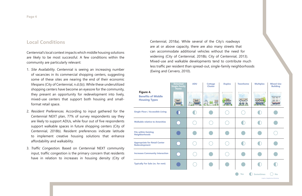# **Local Conditions**

Centennial's local context impacts which middle housing solutions are likely to be most successful. A few conditions within the community are particularly relevant:

- 1. Site Availability. Centennial is seeing an increasing number of vacancies in its commercial shopping centers, suggesting some of these sites are nearing the end of their economic lifespans (City of Centennial, n.d.(b)). While these underutilized shopping centers have become an eyesore for the community, they present an opportunity for redevelopment into lively, mixed-use centers that support both housing and smallformat retail space.
- 2. Resident Preferences. According to input gathered for the Centennial NEXT plan, 77% of survey respondents say they are likely to support ADUs, while four out of five respondents support walkable spaces in future shopping centers (City of Centennial, 2018b). Resident preferences indicate latitude to implement creative housing solutions that enhance affordability and walkability.
- 3. Traffic Congestion. Based on Centennial NEXT community input, traffic congestion is the primary concern that residents have in relation to increases in housing density (City of

Centennial, 2018a). While several of the City's roadways are at or above capacity, there are also many streets that can accommodate additional vehicles without the need for widening (City of Centennial, 2018b; City of Centennial, 2013). Mixed-use and walkable developments tend to contribute much less traffic per resident than spread-out, single-family neighborhoods (Ewing and Cervero, 2010).

| Figure 4.<br><b>Benefits of Middle</b><br><b>Housing Types</b> | <b>Detached</b><br>Single-Family<br><b>Home</b> | <b>ADU</b> | <b>Cottage</b><br><b>Cluster</b> |  |
|----------------------------------------------------------------|-------------------------------------------------|------------|----------------------------------|--|
|                                                                | <b>TELES</b>                                    | Treet      |                                  |  |
| <b>Single-Floor / Accessible Living</b>                        |                                                 |            |                                  |  |
| <b>Walkable relative to Amenities</b>                          |                                                 |            |                                  |  |
| <b>Fits within Existing</b><br><b>Neighborhoods</b>            |                                                 |            |                                  |  |
| <b>Appropriate for Retail Center</b><br><b>Redevelopment</b>   |                                                 |            |                                  |  |
| <b>Increases Community Interaction</b>                         |                                                 |            |                                  |  |
| <b>Typically For Sale (vs. for rent)</b>                       |                                                 |            |                                  |  |

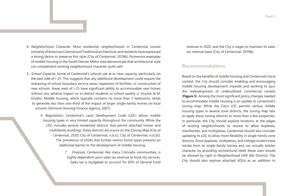- 4. Neighborhood Character. Most residential neighborhoods in Centennial consist primarily of American Colonial and Traditional architecture, and residents have expressed a strong desire to preserve this style (City of Centennial, 2018b). Numerous examples of middle housing in the South Denver Metro area demonstrate that architectural style can complement existing neighborhood character quite well.
- 5. School Capacity. Some of Centennial's schools are at or near capacity, particularly on the east side of I-25. This suggests that any additional development could require the redrawing of school boundary service areas, expansion of facilities, or construction of new schools. Areas west of I-25 have significant ability to accommodate new homes without any adverse impact on in-district students or school quality (J. Houlne & M. Gradis). Middle housing, which typically contains no more than 3 bedrooms, tends to generate less than one-third of the impact of larger single-family homes on local schools (Vermont Housing Finance Agency, 2007).
	- 6. Regulations. Centennial's Land Development Code (LDC) allows middle housing types in very limited capacity throughout the community. While the LDC includes several residential districts that permit attached homes and multifamily buildings, these districts are scarce on the Zoning Map (City of Centennial, 2020; City of Centennial, n.d.(c); City of Centennial, n.d.(d)). The prevalence of HOAs that further restrict home types presents an additional barrier to the development of middle housing.
		- 7. Finances. Centennial, like many Colorado communities, is highly dependent upon sales tax revenue to fund city services. Sales tax is budgeted to account for 60% of General Fund

Based on the benefits of middle housing and Centennial's local context, the City should consider enabling and encouraging middle housing development citywide and working to spur the redevelopment of underutilized commercial centers (**Figure 5**). Among the most significant policy changes needed to accommodate middle housing is an update to Centennial's zoning map. While the City's LDC permits various middle housing types in several zone districts, the zoning map fails to apply these zoning districts to more than a few properties. In particular, the City should explore locations at the edges of existing neighborhoods to rezone to allow duplexes, townhomes, and multiplexes. Centennial should also consider updating its LDC to allow more flexibility in single-family zone districts. Since duplexes, multiplexes, and cottage clusters have similar form to single-family homes and can actually bolster character by providing architectural relief, these uses should be allowed by-right in Neighborhood Infill (NI) Districts. The City should also explore attached ADUs as an addition to

revenue in 2020, and the City is eager to maintain its sales tax revenue base (City of Centennial, 2019b).

# **Recommendations**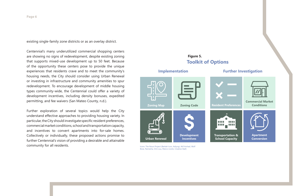existing single-family zone districts or as an overlay district.

Centennial's many underutilized commercial shopping centers are showing no signs of redevelopment, despite existing zoning that supports mixed-use development up to 50 feet. Because of the opportunity these centers pose to provide the unique experiences that residents crave and to meet the community's housing needs, the City should consider using Urban Renewal or investing in infrastructure and community amenities to spur redevelopment. To encourage development of middle housing types community-wide, the Centennial could offer a variety of development incentives, including density bonuses, expedited permitting, and fee waivers (San Mateo County, n.d.).

> Icons: The Noun Project (Berkah Icon, Adiyogi, Atif Arshad, Wolf Bose, Ramesha, Orin zuu, Marco Livolsi, Creative Stall)

Further exploration of several topics would help the City understand effective approaches to providing housing variety. In particular, the City should investigate specific resident preferences, commercial market conditions, school and transportation capacity, and incentives to convert apartments into for-sale homes. Collectively or individually, these proposed actions promise to further Centennial's vision of providing a desirable and attainable community for all residents.



**Figure 5.**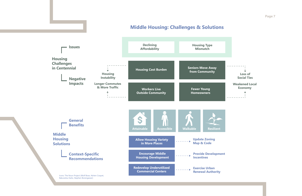**Page 7**

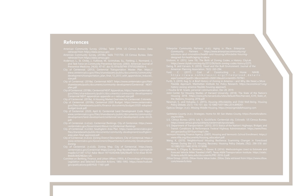## **References**

- American Community Survey. (2018a). Table DP04. US Census Bureau. Data
- 
- and Task Force on Community Preventive Services. (2003). American Journal of Preventive Medicine, 24(3S): 47-67. doi:10.1016/S0749-3797(02)00656-6.
- City of Centennial. (2013). Centennial Transportation Master Plan. https:// www.centennialco.gov/files/sharedassets/public/documents/community-
- plan.pdf.
- City of Centennial. (2018b). Centennial NEXT Appendices. https://www.centennialco. gov/files/sharedassets/public/documents/community-development/ Centennial NEXT-appendices-appendix-a-c-reduced-size.pdf.
- City of Centennial. (2019a). A Housing Market Overview for Centennial, Colorado.
- City of Centennial. (2019b). Centennial 2020 Budget. https://www.centennialco. gov/files/sharedassets/public/finance-documents/budget/2020-adoptedbudget-book.pdf.
- www.centennialco.gov/files/sharedassets/public/documents/communitypdf.
- 
- area-plan-final-approved.pdf.
- City of Centennial. (n.d.(c)). Zoning District Descriptions. City of Centennial. https://
- centennialco.gov/Centennial-Maps/Zoning-Map?BestBetMatch=zoning%20
- Comittee on Banking, Finance, and Urban Affairs (1993). A Chronology of Housing
- 
- 
- 
- -
- Policy Debate, 25(1): 116-151. doi: 10.1080/10511482.2014.899261. Opticos Design. (n.d.). Missing Middle Housing. https://missingmiddlehousing.com.
- org/toolkits.
- 
- 
- 
- 
- Williams, T., Chigoy, B., Borowiec, J., Glover, B. (2016). Methodologies Used to Estimate and Zillow Group. (2020). Zillow Home Value Index. Zillow. Data retrieved from https://www.zillow. com/research/data.